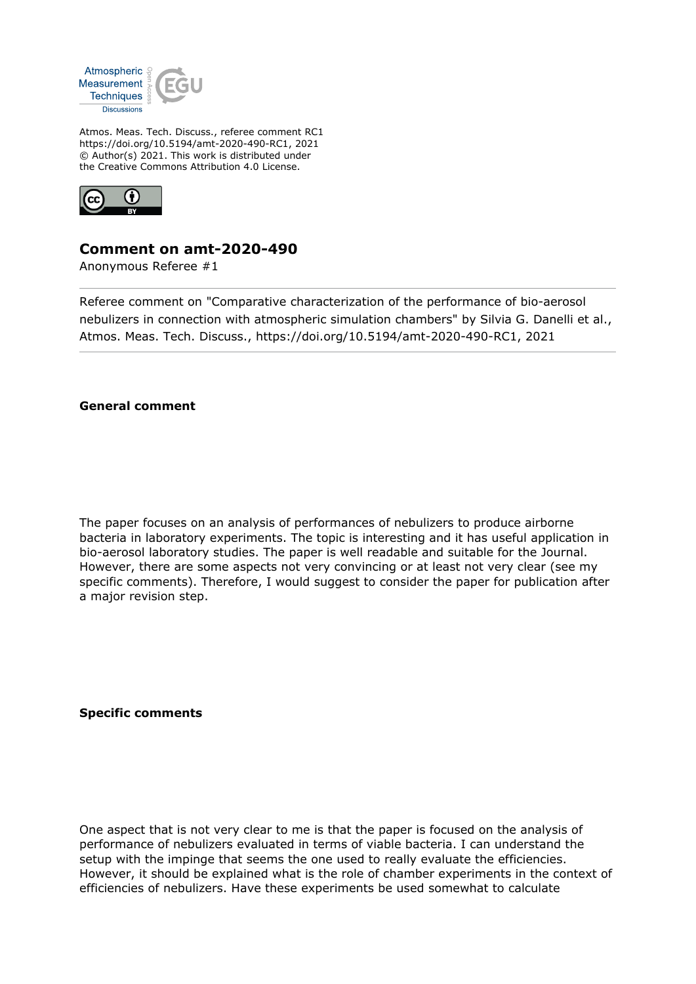

Atmos. Meas. Tech. Discuss., referee comment RC1 https://doi.org/10.5194/amt-2020-490-RC1, 2021 © Author(s) 2021. This work is distributed under the Creative Commons Attribution 4.0 License.



## **Comment on amt-2020-490**

Anonymous Referee #1

Referee comment on "Comparative characterization of the performance of bio-aerosol nebulizers in connection with atmospheric simulation chambers" by Silvia G. Danelli et al., Atmos. Meas. Tech. Discuss., https://doi.org/10.5194/amt-2020-490-RC1, 2021

**General comment**

The paper focuses on an analysis of performances of nebulizers to produce airborne bacteria in laboratory experiments. The topic is interesting and it has useful application in bio-aerosol laboratory studies. The paper is well readable and suitable for the Journal. However, there are some aspects not very convincing or at least not very clear (see my specific comments). Therefore, I would suggest to consider the paper for publication after a major revision step.

**Specific comments**

One aspect that is not very clear to me is that the paper is focused on the analysis of performance of nebulizers evaluated in terms of viable bacteria. I can understand the setup with the impinge that seems the one used to really evaluate the efficiencies. However, it should be explained what is the role of chamber experiments in the context of efficiencies of nebulizers. Have these experiments be used somewhat to calculate